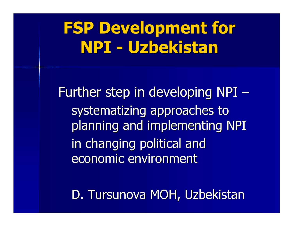#### **FSP Development for NPI Uzbekistan Uzbekistan**

Further step in developing NPI  $\cdot$ **However the Common** systematizing approaches to planning and implementing NPI in changing political and economic environment

D. Tursunova MOH, Uzbekistan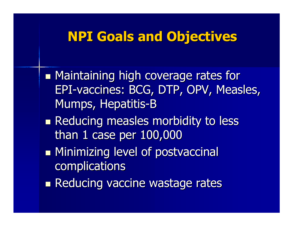## **NPI Goals and Objectives NPI Goals and Objectives**

- **Maintaining high coverage rates for Maintaining high coverage rates for** EPI-vaccines: BCG, DTP, OPV, Measles, Mumps, Hepatitis -B
- **Reducing measles morbidity to less** than  $1$  case per  $100,000$
- **Minimizing level of postvaccinal Postvaccinal** complications
- **Reducing vaccine wastage rates**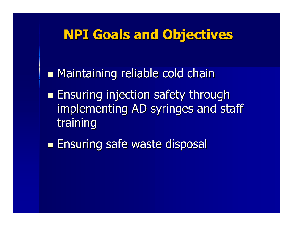## **NPI Goals and Objectives NPI Goals and Objectives**

- **• Maintaining reliable cold chain**
- **Ensuring injection safety through Interest** implementing AD syringes and staff training
- **Ensuring safe waste disposal**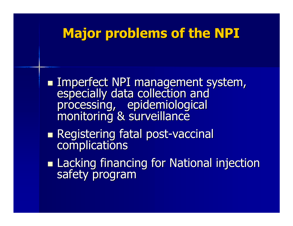## **Major problems of the NPI Major problems of the NPI**

- Imperfect NPI management system, especially data collection and<br>processing, epidemiological<br>monitoring & surveillance
- **Registering fatal post-vaccinal** complications
- **Lacking financing for National injection Lacking financing for National injection safety program**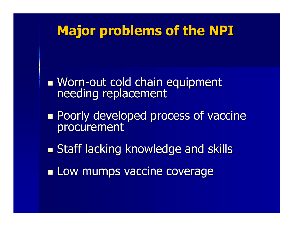## **Major problems of the NPI Major problems of the NPI**

- Worn-out cold chain equipment<br>needing replacement
- **Poorly developed process of vaccine** procurement
- **Butare Staff lacking knowledge and skills**
- **Low mumps vaccine coverage**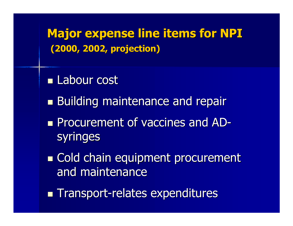**Major expense line items for NPI (2000, 2002, (2000, 2002, projection projection )**

**Labour cost** 

- **Building maintenance and repair**
- **Procurement of vaccines and AD** syringes
- **Example 20 Cold chain equipment procurement** and maintenance

**Transport-relates expenditures**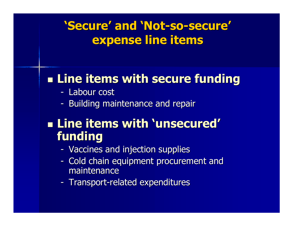### **'Secure' and 'Not-so-secure' expense line items expense line items**

#### **Line items with secure funding Line items with secure funding**

- Labour cost
- -- Building maintenance and repair

### **Line items with 'unsecured' funding funding**

- -- Vaccines and injection supplies
- -- Cold chain equipment procurement and maintenance
- -- Transport-related expenditures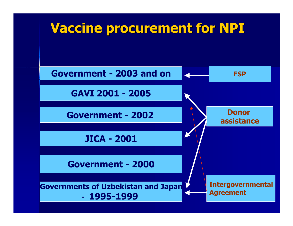## **Vaccine procurement for NPI**

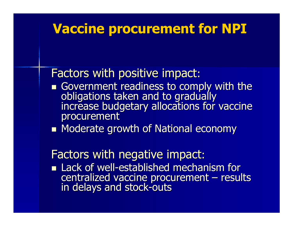## **Vaccine procurement for NPI Vaccine procurement for NPI**

#### Factors with positive impact:

- Government readiness to comply with the obligations taken and to gradually<br>increase budgetary allocations for vaccine procurement
- e<br>Se **Moderate growth of National economy**

Factors with negative impact:

**Exercise 1 Lack of well-established mechanism for all equation** centralized vaccine procurement  $\cdot$ –– results in delays and stock-outs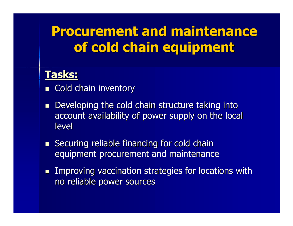## **Procurement and maintenance of cold chain equipment of cold chain equipment**

#### **Tasks :**

- **Cold chain inventory**
- **Developing the cold chain structure taking into** account availability of power supply on the local level
- $\blacksquare$  Securing reliable financing for cold chain equipment procurement and maintenance
- **IMPROVING vaccination strategies for locations with 1mproving vaccination strategies for locations with** no reliable power sources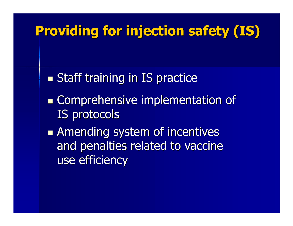## **Providing for injection safety (IS) Providing for injection safety (IS)**

- **Staff training in IS practice**
- **EX Comprehensive implementation of** IS protocols IS protocols
- **Rumanding system of incentives** and penalties related to vaccine use efficiency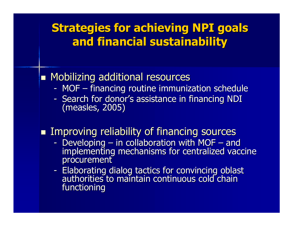#### **Strategies for achieving NPI goals and financial sustainability and financial sustainability**

#### e<br>Se **Mobilizing additional resources**

- MOF  $\mathcal{L}_{\mathcal{A}}$ – financing routine immunization schedule
- -- Search for donor's assistance in financing NDI (measles, 2005)

e<br>Se **Improving reliability of financing sources** 

- -- Developing Developing – in collaboration with MOF – and<br>implementing mechanisms for centralized vaccine procurement
- Elaborating dialog tactics for convincing oblast authorities to maintain continuous cold chain functioning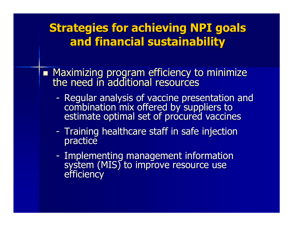#### **Strategies for achieving NPI goals and financial sustainability and financial sustainability**

- e<br>Se **Maximizing program efficiency to minimize** Maximizing program efficiency to minimize the need in additional resources
	- -- Regular analysis of vaccine presentation and<br>combination mix offered by suppliers to<br>estimate optimal set of procured vaccines
	- -- Training healthcare staff in safe injection<br>practice
	- -- Implementing management information<br>system (MIS) to improve resource use<br>efficiency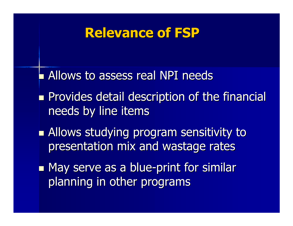## **Relevance of FSP Relevance of FSP**

- $\blacksquare$  Allows to assess real NPI needs
- **Provides detail description of the financial Provides detail description of the financial** needs by line items
- ing.<br>Panah **Allows studying program sensitivity to** presentation mix and wastage rates
- **• May serve as a blue-print for similar** planning in other programs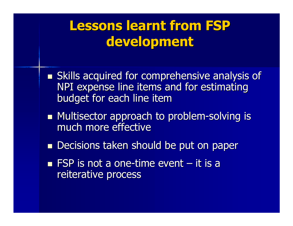## **Lessons learnt from FSP development development**

- e<br>Se  $\blacksquare$  Skills acquired for comprehensive analysis of NPI expense line items and for estimating budget for each line item
- e<br>Se **Multisector approach to problem-solving is** much more effective
- e<br>Se **Decisions taken should be put on paper**
- $\blacksquare$  FSP is not a one-time event  $\cdot$ – $-$  it is a  $\,$ reiterative process